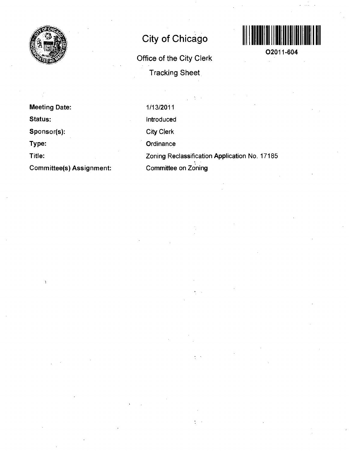

# **City of Chicago**

**Office of the City Clerk Tracking Sheet** 



**O2011-604** 

**Meeting Date: Status: Sponsor(s): Type: Title: Committee(s) Assignment:**  1/13/2011 Introduced City Clerk **Ordinance** 

Zoning Reclassification Application No. 17185 Committee on Zoning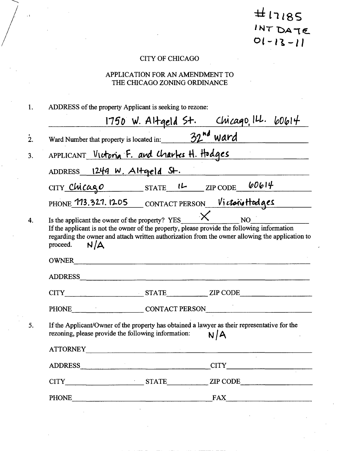$H17185$ <br> $INTDATE$  $01 - 13 - 11$ 

## CITY OF CHICAGO

 $\langle \cdot, \cdot \rangle$ 

# APPLICATION FOR AN AMENDMENT TO THE CHICAGO ZONING ORDINANCE

| 1. | ADDRESS of the property Applicant is seeking to rezone:                                                                                                           |  |                                                                                                                            |  |
|----|-------------------------------------------------------------------------------------------------------------------------------------------------------------------|--|----------------------------------------------------------------------------------------------------------------------------|--|
|    |                                                                                                                                                                   |  |                                                                                                                            |  |
| 2. | $\frac{1750 \text{ W. Al+qeld } \text{S+}}{32^{\text{nd}} \text{ Ward Number that property is located in:}}$                                                      |  |                                                                                                                            |  |
| 3. |                                                                                                                                                                   |  | APPLICANT Victoria F. and Charles H. Hodges                                                                                |  |
|    | ADDRESS $1249 \text{ W}$ . Altgeld St.                                                                                                                            |  |                                                                                                                            |  |
|    | CITY Chicago STATE 1L ZIP CODE 60614                                                                                                                              |  |                                                                                                                            |  |
|    |                                                                                                                                                                   |  | PHONE 113.321.1205 CONTACT PERSON Victoriottodges                                                                          |  |
| 4. | Is the applicant the owner of the property? YES<br>If the applicant is not the owner of the property, please provide the following information<br>N/A<br>proceed. |  | $\times$ $_{\text{NO}}$<br>regarding the owner and attach written authorization from the owner allowing the application to |  |
|    | OWNER                                                                                                                                                             |  |                                                                                                                            |  |
|    |                                                                                                                                                                   |  |                                                                                                                            |  |
|    |                                                                                                                                                                   |  | CITY STATE ZIP CODE                                                                                                        |  |
|    |                                                                                                                                                                   |  | PHONE CONTACT PERSON                                                                                                       |  |
| 5. | If the Applicant/Owner of the property has obtained a lawyer as their representative for the<br>rezoning, please provide the following information:               |  | N/A                                                                                                                        |  |
|    | <b>ATTORNEY</b><br><u> 1980 - Januar Maria Maria Maria Maria Maria Maria Maria Maria Maria Maria Maria Maria Maria Maria Maria Mar</u>                            |  |                                                                                                                            |  |
|    | ADDRESS                                                                                                                                                           |  |                                                                                                                            |  |
|    |                                                                                                                                                                   |  | CITY STATE ZIP CODE                                                                                                        |  |
|    |                                                                                                                                                                   |  | PHONE FAX FAX                                                                                                              |  |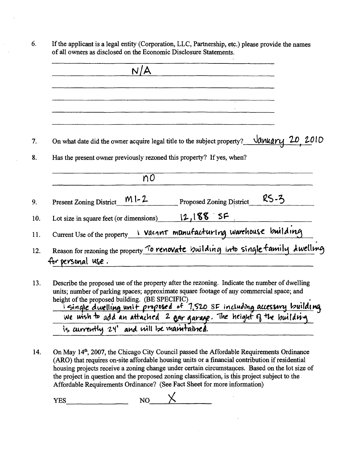|                                | N/A                                                                                                                   |
|--------------------------------|-----------------------------------------------------------------------------------------------------------------------|
|                                |                                                                                                                       |
|                                | On what date did the owner acquire legal title to the subject property? $\frac{\sqrt{a} \mu \alpha r \mu}{20}$ , 2010 |
|                                | Has the present owner previously rezoned this property? If yes, when?                                                 |
|                                | n0                                                                                                                    |
|                                |                                                                                                                       |
| $M1-2$                         | $RS-3$<br><b>Proposed Zoning District</b>                                                                             |
| <b>Present Zoning District</b> | Lot size in square feet (or dimensions) $12,188$ SF                                                                   |

6.

13. Describe the proposed use of the property after the rezoning. Indicate the number of dwelling units; number of parking spaces; approximate square footage of any commercial space; and height of the proposed building. (BE SPECIFIC) <u>I single dwelling unit pioposed of 7,520 SF including accessory building</u> is currently 24' and will be mantaine**d**.

14. On May 14<sup>th</sup>, 2007, the Chicago City Council passed the Affordable Requirements Ordinance **(ARO) that requires on-site affordable housing units or a financial contribution if residential**  housing projects receive a zoning change under certain circumstances. Based on the lot size of **the project in question and the proposed zoning classification, is this project subject to the Affordable Requirements Ordinance? (See Fact Sheet for more information)** 

 $YES$  NO  $X$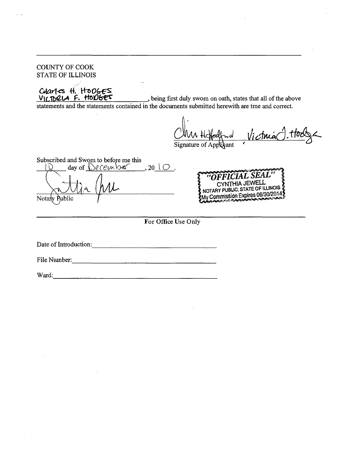COUNTY OF COOK STATE OF ILLINOIS Charles H. Hooges VICTORIA F. HODGES being first duly swom on oath, states that all of the above statements and the statements contained in the documents submitted herewith are tme and conect. Victima Signature of Apr ant: Subscribed and Swom to before me this  $\Delta$  day of  $\Omega$  cember, 20  $\cup$  . CYNTHIA JEWELL NOTARY PUBLIC, STATE OF ILLINOIS &<br>My Commission Expires 06/30/2014 Notary Public **For Office Use Only**  Date of Introduction: File Nxunber: Ward: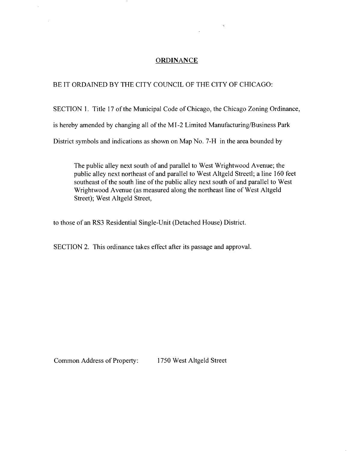#### **ORDINANCE**

#### BE IT ORDAINED BY THE CITY COUNCIL OF THE CITY OF CHICAGO:

 $\overline{\phantom{a}}$ 

SECTION 1. Title 17 of the Municipal Code of Chicago, the Chicago Zoning Ordinance, is hereby amended by changing all of the MI -2 Limited Manufacturing/Business Park District symbols and indications as shown on Map No. 7-H in the area bounded by

The public alley next south of and parallel to West Wrightwood Avenue; the public alley next northeast of and parallel to West Altgeld Streetl; a line 160 feet southeast of the south line of the public alley next south of and parallel to West Wrightwood Avenue (as measured along the northeast line of West Altgeld Street); West Altgeld Street,

to those of an RS3 Residential Single-Unit (Detached House) District.

SECTION 2. This ordinance takes effect after its passage and approval.

Common Address of Property: 1750 West Altgeld Street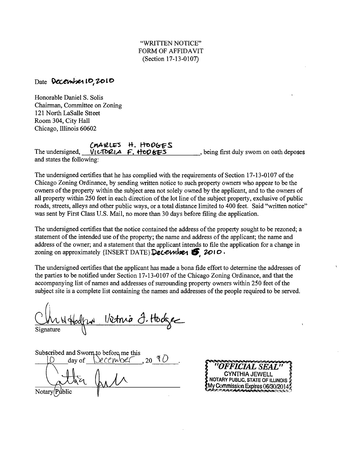## Date **December 10, 2010**

Honorable Daniel S. Solis Chairman, Committee on Zoning 121 North LaSalle Stteet Room 304, City Hall Chicago, Illinois 60602

# CMARLES H. HODGES

VILTORIA F. HODKES The undersigned, \_, being first duly swom on oath deposes and states the following:

The undersigned certifies that he has complied with the requirements of Section 17-13-0107 of the Chicago Zoning Ordinance, by sending written notice to such property owners who appear to be the owners ofthe property within the subject area not solely owned by the applicant, and to the ovmers of all property within 250 feet in each direction of the lot line of the subject property, exclusive of public roads, streets, alleys and other public ways, or a total distance limited to 400 feet. Said "written notice'' was sent by First Class U.S. Mail, no more than 30 days before filing die application.

*The undersigned certifies that the notice contained the address of the property sought to be rezoned; a statement of the intended use of the property; the name and address of the applicant; the name and address of the owner; and a statement that the applicant intends to file the application for a change in*  zoning on approximately  $\{INSERT\ DATE\}$ Decewther  $\bullet$ , 2010.

The undersigned certifies that the applicant has made a bona fide effort to determine the addresses of the parties to be notified under Section 17-13-0107 of the Chicago Zoning Ordinance, and that the accompanying list of names and addresses of surrounding property owners within 250 feet of the subject site is a complete list containing the names and addresses of the people required to be served.

Vietnia I. Hodge Signature

Subscribed and Sworn to before me this<br>  $[O \quad \text{day of} \quad \text{CCCMO2} \quad \text{20 } \text{ } \text{ } \text{ } O$  $d$ ay of  $\&$ CCM $\&$ Notary(Public

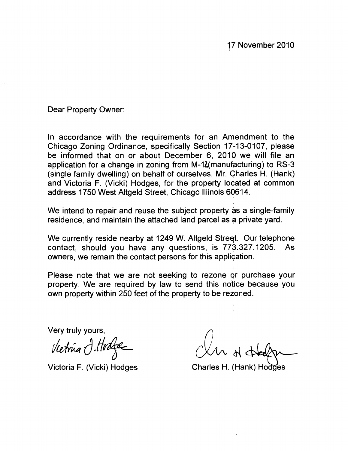**17 November 2010** 

**Dear Property Owner:** 

**In accordance with the requirements for an Amendment to the Chicago Zoning Ordinance, specifically Section 17-13-0107, please be informed that on or about December 6, 2010 we will file an application for a change in zoning from M-1Z(manufacturing) to RS-3 (single family dwelling) on behalf of ourselves, Mr. Charles H. (Hank) and Victoria F. (Vicki) Hodges, for the property located at common address 1750 West Altgeld Street, Chicago lliinois 60614.** 

**We intend to repair and reuse the subject property as a single-family residence, and maintain the attached land parcel as a private yard.** 

**We currently reside nearby at 1249 W. Altgeld Street. Our telephone contact, should you have any questions, is 773.327.1205. As owners, we remain the contact persons for this application.** 

**Please note that we are not seeking to rezone or purchase your property. We are required by law to send this notice because you**  own property within 250 feet of the property to be rezoned.

**Very truly yours,** 

Vietnia I. Hodge

**Victoria F. (Vicki) Hodges Charles H. (Hank) Hodges**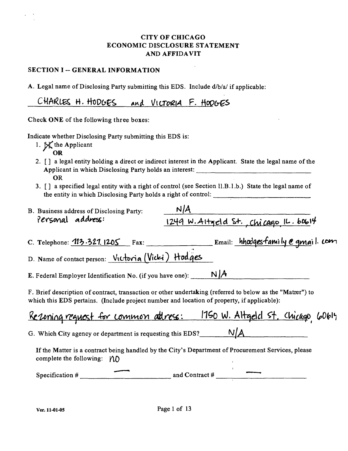#### CITY OF CHICAGO ECONOMIC DISCLOSURE STATEMENT AND AFFIDAVIT

#### SECTION I -- GENERAL INFORMATION

A. Legal name of Disclosing Party submitting this EDS. Include d/b/a/ if applicable:

CHARLES H. HODGES and VICTORIA F. HODGES

Check ONE of the following three boxes:

Indicate whether Disclosing Party submitting this EDS is:

- 1.  $\mathbb{X}$  the Applicant OR
- 2. [J a legal entity holding a direct or indirect interest in the Applicant. State the legal name of the Applicant in which Disclosing Party holds an interest: OR
- 3. [ ] a specified legal entity with a right of control (see Section II.B.1.b.) State the legal name of the entity in which Disclosing Party holds a right of control:

| B. Business address of Disclosing Party: | N/A                                       |
|------------------------------------------|-------------------------------------------|
| Personal address:                        | $1249$ W. Altgeld St. Chicago IL. $60614$ |

C. Telephone: <u>113.321.1205</u> Fax: Email: *hhodgesfamily e gmail: 0m* 

D. Name of contact person:  $V_1$ ctovia (Vicki) Hodges

E. Federal Employer Identification No. (if you have one):  $N/A$ 

F. Brief description of contract, ttansaction or other undertaking (refened to below as the "Matter") to which this EDS pertains. (Include project number and location of property, if applicable):

|  |  |  | Rezoning request for common attress: 1750 W. Altgeld St. Chicago, 60614 |  |  |
|--|--|--|-------------------------------------------------------------------------|--|--|
|  |  |  |                                                                         |  |  |

G. Which City agency or department is requesting this EDS?  $N/A$ 

If the Matter is a contract being handled by the City's Department of Procurement Services, please complete the following:  $\Lambda$ 

Specification  $\#\begin{array}{c} \longrightarrow \end{array}$  and Contract  $\#\begin{array}{ccc} \longrightarrow \end{array}$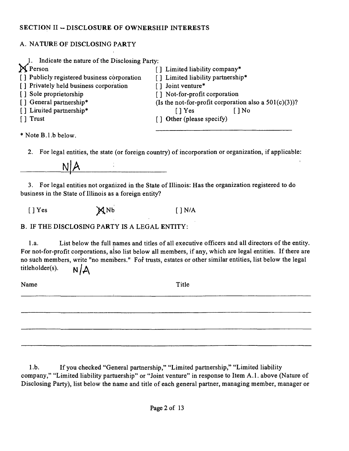## **SECTION II ~- DISCLOSURE OF OWNERSHIP INTERESTS**

# A. NATURE OF DISCLOSING PARTY

| Indicate the nature of the Disclosing Party: |                                                          |
|----------------------------------------------|----------------------------------------------------------|
| <b>X</b> Person                              | [] Limited liability company*                            |
| [] Publicly registered business corporation  | [] Limited liability partnership*                        |
| [] Privately held business corporation       | Joint venture*                                           |
| [] Sole proprietorship                       | [] Not-for-profit corporation                            |
| [] General partnership*                      | (Is the not-for-profit corporation also a $501(c)(3)$ )? |
| [] Liruited partnership*                     | $\lceil$   Yes<br>[ ] No                                 |
| [ ] Trust                                    | [] Other (please specify)                                |
| * Note B.1.b below.                          |                                                          |

2. For legal entities, the state (or foreign country) of incorporation or organization, if applicable:

**IM|A** 

3. For legal entities not organized in the State of Illinois: Has the organization registered to do business in the State of Illinois as a foreign entity?

 $[ ]$  Yes  $M$  Nb  $[ ]$  N/A

B. IF THE DISCLOSING PARTY IS A LEGAL ENTITY:

l.a. List below the full names and tides of all executive officers and all directors of the entity. For not-for-profit corporations, also list below all members, if any, which are legal entities. If there are no such members, write "no menibers." For trusts, estates or other similar entities, list below the legal titleholder(s).  $N/\Delta$ 

Name Title

1 .b. If you checked "General partnership," "Limited partnership," "Limited liability company," "Limited liability partuership" or "Joint venture" in response to Item A.1. above (Nature of Disclosing Party), list below the name and title of each general partner, managing member, manager or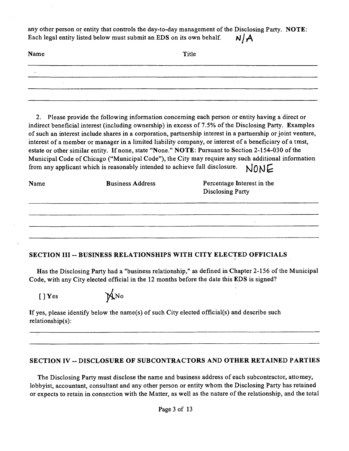any other person or entity that controls the day-to-day management of the Disclosing Party. NOTE: Each legal entity listed below must submit an EDS on its own behalf.  $N/A$ 

| Name | Title |  |  |
|------|-------|--|--|
|      |       |  |  |
|      |       |  |  |
|      |       |  |  |

2. Please provide the following information conceming each person or entity having a direct or indirect beneficial interest (including ownership) in excess of 7.5% of the Disclosing Party. Examples of such an interest include shares in a corporation, partnership interest in a partaership or joint ventare, interest of a member or manager in a limited liability company, or interest of a beneficiary of a tmst, estate or other similar entity. If none, state "None." NOTE: Pursuant to Section 2-154-030 of the Municipal Code of Chicago ("Municipal Code"), the City may require any such additional information from any applicant which is reasonably intended to achieve full disclosure.  $NONF$ 

| Name | <b>Business Address</b> | Percentage Interest in the<br><b>Disclosing Party</b> |
|------|-------------------------|-------------------------------------------------------|
|      |                         |                                                       |
|      |                         |                                                       |

# SECTION III -- BUSINESS RELATIONSHIPS WITH CITY ELECTED OFFICIALS

Has the Disclosing Party had a "business relationship," as defined in Chapter 2-156 of the Municipal Code, with any City elected official in the 12 months before the date this EDS is signed?

[]Yes



If yes, please identify below the name(s) of such City elected official(s) and describe such relationship(s):

#### SECTION IV -- DISCLOSURE OF SUBCONTRACTORS AND OTHER RETAINED PARTIES

The Disclosing Party must disclose the name and business address of each subcontractor, attomey, lobbyist, accountant, consultant and any other person or entity whom the Disclosing Party has retained or expects to retain in connection with the Matter, as well as the nature of the relationship, and the total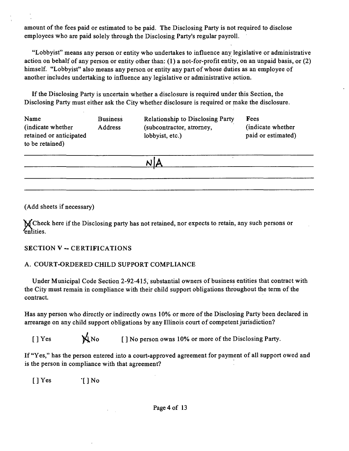amount of the fees paid or estimated to be paid. The Disclosing Party is not required to disclose employees who are paid solely through the Disclosing Party's regular payroll.

"Lobbyist" means any person or entity who undertakes to influence any legislative or administrative action on behalf of any person or entity other than: (1) a not-for-profit entity, on an unpaid basis, or (2) himself. "Lobbyist" also means any person or entity any part of whose duties as an employee of another includes undertaking to influence any legislative or administrative action.

If the Disclosing Party is uncertain whether a disclosure is required under this Section, the Disclosing Party must either ask the City whether disclosure is required or pake the disclosure.

| Name<br>(indicate whether)<br>retained or anticipated<br>to be retained) | <b>Business</b><br>Address | <b>Relationship to Disclosing Party</b><br>(subcontractor, atrorney,<br>lobbyist, etc.) | Fees<br>(indicate whether<br>paid or estimated) |  |
|--------------------------------------------------------------------------|----------------------------|-----------------------------------------------------------------------------------------|-------------------------------------------------|--|
|                                                                          |                            |                                                                                         |                                                 |  |

(Add sheets if necessary)

'N/Check here if the Disclosing party has not retained, nor expects to retain, any such persons or Entities.

#### **SECTION V ~ CERTIFICATIONS**

# A. COURT-ORDERED CHILD SUPPORT COMPLIANCE

Under Municipal Code Section 2-92-415, substantial owners of business entities that conttact with the City must remain in compliance with their child support obligations throughout the term of the contract.

Has any person who directly or indirectly owns 10% or more of the Disclosing Party been declared in arrearage on any child support obligations by any Illinois court of competent jurisdiction?

[] Yes  $\mathbf{A}$ No [] No person owns 10% or more of the Disclosing Party.

If "Yes," has the person entered into a court-approved agreement for payment of all support owed and is the person in compliance with that agreement?

[] Yes [] No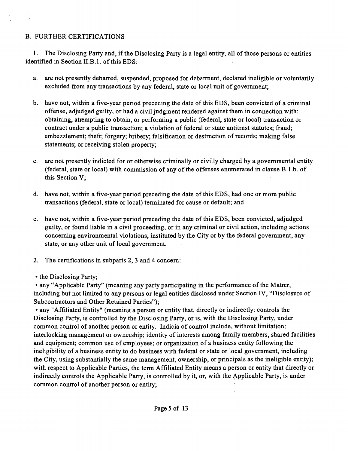## B. FURTHER CERTIFICATIONS

1. The Disclosing Party and, if the Disclosing Party is a legal entity, all of those persons or entities identified in Section II.B.l. of this EDS:

- a. are not presently debarred, suspended, proposed for debarment, declared ineligible or voluntarily excluded from any transactions by any federal, state or local unit of government;
- b. have not, within a five-year period preceding the date of this EDS, been convicted of a criminal offense, adjudged guilty, or had a civil judgment rendered against them in connection with: obtaining, attempting to obtam, or performing a public (federal, state or local) transaction or contract under a public transaction; a violation of federal or state antitmst statutes; fraud; embezzlement; theft; forgery; bribery; falsification or destmction of records; making false statements; or receiving stolen property;
- c. are not presently indicted for or otherwise criminally or civilly charged by a govemmental entity (federal, state or local) with commission of any of the offenses enumerated in clause B.1.b. of this Section V;
- d. have not, within a five-year period preceding the date of this EDS, had one or more public transactions (federal, state or local) terminated for cause or default; and
- e. have not, within a five-year period preceding the date of this EDS, been convicted, adjudged guilty, or found liable in a civil proceeding, or in any criminal or civil action, including actions conceming environmental violations, institated by the City or by the federal govemment, any state, or any other unit of local govemment.
- 2. The certifications in subparts 2, 3 and 4 concem:
- the Disclosing Party;

• any "Applicable Party" (meaning any party participating in the performance of the Matrer, including but not limited to any persons or legal entities disclosed under Section IV, "Disclosure of Subcontractors and Other Retained Parties");

• any "Affiliated Entity" (meaning a person or entity that, directly or indirectly: controls the Disclosing Party, is controlled by the Disclosing Party, or is, with the Disclosing Party, under common control of another person or entity. Indicia of control include, without limitation: interlocking management or ownership; identity of interests among family members, shared facilities and equipment; common use of employees; or organization of a business entity following the ineligibility of a business entity to do business with federal or state or local govemment, including the City, using substantially the same management, ownership, or principals as the ineligible entity); with respect to Applicable Parties, the term Affiliated Entity means a person or entity that directly or indirectly controls the Applicable Party, is controlled by it, or, with the Applicable Party, is under common conttol of another person or entity;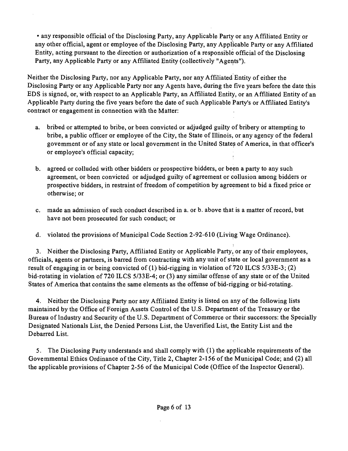• any responsible official of the Disclosing Party, any Applicable Party or any Affiliated Entity or any other official, agent or employee of the Disclosing Party, any Applicable Party or any Affiliated Entity, acting pursuant to the direction or authorization of a responsible official of the Disclosing Party, any Applicable Party or any Affiliated Entity (collectively "Agents").

Neither the Disclosing Party, nor any Applicable Party, nor any Affiliated Entity of either the Disclosing Party or any Applicable Party nor any Agents have, during the five years before the date this EDS is signed, or, with respect to an Applicable Party, an Affiliated Entity, or an Affiliated Entity of an Applicable Party during the five years before the date of such Applicable Party's or Affiliated Entity's contract or engagement in connection with the Matter:

- a. bribed or attempted to bribe, or been convicted or adjudged guilty of bribery or attempting to bribe, a public officer or employee of the City, the State of Illinois, or any agency of the federal govemment or of any state or local government in the United State^ of America, in that officer's or employee's official capacity;
- b. agreed or colluded with other bidders or prospective bidders, or been a party to any such agreement, or been convicted or adjudged guilty of agreement or collusion among bidders or prospective bidders, in restraint of freedom of competition by agreement to bid a fixed price or otherwise; or
- c. made an admission of such conduct described in a. or b. above that is a matter of record, but have not been prosecuted for such conduct; or
- d. violated the provisions of Municipal Code Section 2-92-610 (Living Wage Ordinance).

**1**  3. Neither the Disclosing Party, Affiliated Entity or Applicable Party, or any of their employees, officials, agents or partners, is barred from contracting with any unit of state or local government as a result of engaging in or being convicted of (1) bid-rigging in violation of 720 ILCS 5/33E-3; (2) bid-rotating in violation of 720 ILCS 5/33E-4; or (3) any similar offense of any state or ofthe United States of America that contains the same elements as the offense of bid-rigging or bid-rotating.

4. Neither the Disclosing Party nor any Affiliated Entity is listed on any of the following lists maintained by the Office of Foreign Assets Control of the U.S. Department of the Treasury or the Bureau oflndustry and Security of the U.S. Department of Commerce or their successors: the Specially Designated Nationals List, the Denied Persons List, the Unverified List, the Entity List and the Debarred List.

5. The Disclosing Party understands and shall comply with (1) the applicable requirements of the Govemmental Ethics Ordinance of the City, Title 2, Chapter 2-156 of the Municipal Code; and (2) all the applicable provisions of Chapter 2-56 of the Municipal Code (Office of the Inspector General).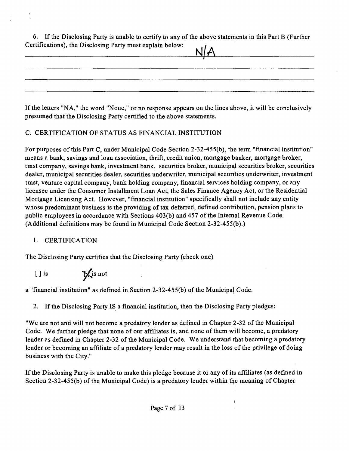| 6. If the Disclosing Party is unable to certify to any of the above statements in this Part B (Further |
|--------------------------------------------------------------------------------------------------------|
| Certifications), the Disclosing Party must explain below:<br>N/A                                       |
|                                                                                                        |

| If the letters "NA," the word "None," or no response appears on the lines above, it will be conclusively |
|----------------------------------------------------------------------------------------------------------|
| presumed that the Disclosing Party certified to the above statements.                                    |

# C. CERTIFICATION OF STATUS AS FINANCIAL INSTITUTION

For purposes of this Part C, under Municipal Code Section 2-32-455(b), the term "financial institation" means a bank, savings and loan association, thrift, credit union, mortgage banker, mortgage broker, tmst company, savings bank, investment bank, securities broker, municipal securities broker, securities dealer, municipal securities dealer, securities underwriter, municipal securities underwriter, investment tmst, ventare capital company, bank holding company, financial services holding company, or any licensee under the Consumer Installment Loan Act, the Sales Finance Agency Act, or the Residential Mortgage Licensing Act. However, "financial institation" specifically shall not include any entity whose predominant business is the providing of tax defened, defined contribution, pension plans to public employees in accordance with Sections 403(b) and 457 of the Intemal Revenue Code. (Additional definitions may be found in Municipal Code Section 2-32-455(b).)

# 1. CERTIFICATION

The Disclosing Party certifies that the Disclosing Party (check one)

 $[ ]$  is  $\mathbb{X}$  is not

a "financial institation" as defmed in Section 2-32-455(b) of the Municipal Code.

2. If the Disclosing Party IS a financial institution, then the Disclosing Party pledges:

"We are not and will not become a predatory lender as defined in Chapter 2-32 of the Municipal Code. We further pledge that none of our affiliates is, and none of them will become, a predatory lender as defined in Chapter 2-32 of fhe Municipal Code. We understand that becoming a predatory lender or becoming an affiliate of a predatory lender may result in the loss of the privilege of doing business with the City."

If the Disclosing Party is unable to make this pledge because it or any of its affiliates (as defined in Section 2-32-455(b) of the Municipal Code) is a predatory lender within the meaning of Chapter

 $\overline{1}$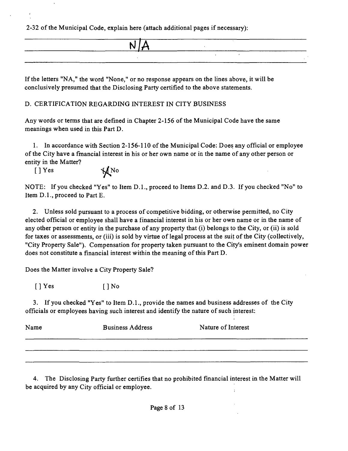2-32 of the Municipal Code, explain here (attach additional pages if necessary):

If the letters "NA," the word "None," or no response appears on the lines above, it will be conclusively presumed that the Disclosing Party certified to the above statements.

# D. CERTIFICATION REGARDING INTEREST IN CITY BUSINESS

Any words or terms that are defined in Chapter 2-156 of the Municipal Code have the same meanings when used in this Part D.

1. In accordance with Section 2-156-110 of the Municipal Code: Does any official or employee of the City have a fmancial interest in his or her own name or in the name of any other person or entity in the Matter?

 $[$  ] Yes  $\mathcal{M}$  No

NOTE: If you checked "Yes" to Item D.L, proceed to Items D.2. and D.3. If you checked "No" to Item D.L, proceed to Part E.

2. Unless sold pursuant to a process of competitive bidding, or otherwise permitted, no City elected official or employee shall have a financial interest in his or her own name or in the name of any other person or entity in the purchase of any property that (i) belongs to the City, or (ii) is sold for taxes or assessments, or (iii) is sold by virtae of legal process at the suit of the City (collectively, "City Property Sale"). Compensation for property taken pursuant to the City's eminent domain power does not constitute a financial interest within the meaning of this Part D.

Does the Matter involve a City Property Sale?

 $[$  | Yes  $[$  | No

3. If you checked "Yes" to Item D.L, provide the names and business addresses of the City officials or employees having such interest and identify the natare of such interest:

| Name | <b>Business Address</b> | Nature of Interest |  |  |
|------|-------------------------|--------------------|--|--|
|      |                         |                    |  |  |
|      |                         |                    |  |  |

4. The Disclosing Party further certifies that no prohibited financial interest in the Matter will be acquired by any City official or employee.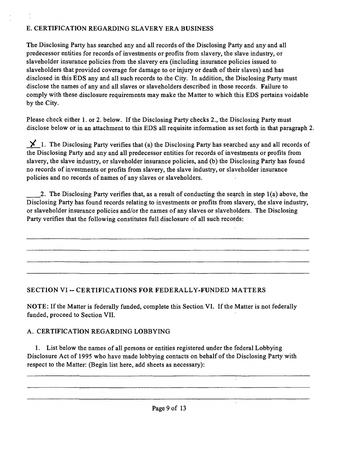# E. CERTIFICATION REGARDING SLAVERY ERA BUSINESS

The Disclosing Party has searched any and all records of the Disclosing Party and any and all predecessor entities for records of investments or profits from slavery, the slave industry, or slaveholder insurance policies from the slavery era (including insurance policies issued to slaveholders that provided coverage for damage to or injury or death of their slaves) and has disclosed in this EDS any and all such records to the City. In addition, the Disclosing Party must disclose the names of any and all slaves or slaveholders described in those records. Failure to comply with these disclosure requirements may make the Matter to which this EDS pertains voidable by the City.

Please check either 1. or 2. below. If the Disclosing Party checks 2., the Disclosing Party must disclose below or in an attachment to this EDS all requisite information as set forth in that paragraph 2.

 $\blacktriangleright$  1. The Disclosing Party verifies that (a) the Disclosing Party has searched any and all records of the Disclosing Party and any and all predecessor entities for records of investments or profits from slavery, the slave industry, or slaveholder insurance policies, and (b) the Disclosing Party has found no records of investments or profits from slavery, the slave industry, or slaveholder insurance policies and no records of names of any slaves or slaveholders.

2. The Disclosing Party verifies that, as a result of conducting the search in step 1(a) above, the Disclosing Party has found records relating to investments or profits from slavery, the slave industry, or slaveholder insurance policies and/or the names of any slaves or slaveholders. The Disclosing Party verifies that the following constitates full disclosure of all such records:

# **SECTION VI - CERTIFICATIONS FOR FEDERALLY-FUNDED MATTERS**

NOTE: If the Matter is federally funded, complete this Section VI. If the Matter is not federally funded, proceed to Section VII.

# A. CERTIFICATION REGARDING LOBBYING

1. List below the names of all persons or entities registered under the federal Lobbying Disclosure Act of 1995 who have made lobbying contacts on behalf of the Disclosing Party with respect to the Matter: (Begin list here, add sheets as necessary):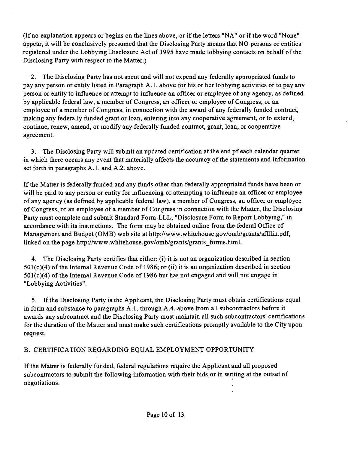(If no explanation appears or begins on the lines above, or if the letters "NA" or if the word "None" appear, it will be conclusively presumed that the Disclosing Party means that NO persons or entities registered under the Lobbying Disclosure Act of 1995 have made lobbying contacts on behalf of the Disclosing Party with respect to the Matter.)

2. The Disclosing Party has not spent and will not expend any federally appropriated funds to pay any person or entity listed in Paragraph A.l . above for his or her lobbying activities or to pay any person or entity to influence or attempt to influence an officer or employee of any agency, as defined by applicable federal law, a member of Congress, an officer or employee of Congress, or an employee of a member of Congress, in connection with the award of any federally funded contract, making any federally funded grant or loan, entering into any cooperative agreement, or to extend, continue, renew, amend, or modify any federally funded contract, grant, loan, or cooperative agreement.

3. The Disclosing Party will submit an updated certification at the end pf each calendar quarter in which there occurs any event that materially affects the accuracy of the statements and information set forth in paragraphs A.1. and A.2. above.

If the Matter is federally funded and any funds other than federally appropriated funds have been or will be paid to any person or entity for influencing or attempting to influence an officer or employee of any agency (as defmed by applicable federal law), a member of Congress, an officer or employee of Congress, or an employee of a member of Congress in connection with the Matter, the Disclosing Party must complete and submit Standard Form-LLL, "Disclosure Form to Report Lobbying," in accordance with its instmctions. The form may be obtained online from the federal Office of Management and Budget (OMB) web site at http://www.whitehouse.gov/omb/grants/sflllin.pdf, linked on the page http://www.whitehouse.gov/omb/grants/grants forms.html.

4. The Disclosing Party certifies that either: (i) it is not an organization described in section 501(c)(4) of the Intemal Revenue Code of 1986; or (ii) it is an organization described in section  $501(c)(4)$  of the Intemal Revenue Code of 1986 but has not engaged and will not engage in "Lobbying Activities".

5. If the Disclosing Party is the Applicant, the Disclosing Party must obtain certifications equal in form and substance to paragraphs A.1, through A.4, above from all subcontractors before it awards any subconttact and the Disclosing Party must maintain all such subconttactors' certifications for the duration of the Matter and must make such certifications promptly available to the City upon request.

#### B. CERTIFICATION REGARDING EQUAL EMPLOYMENT OPPORTUNITY

If the Matter is federally funded, federal regulations require the Applicant and all proposed subconttactors to submit the following information with their bids or in writing at the outset of negotiations.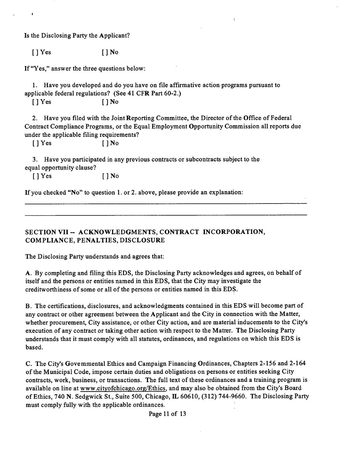Is the Disclosing Party the Applicant?

 $[$   $]$   $Y$ es  $[$   $]$   $N$ o

If "Yes," answer the three questions below:

1. Have you developed and do you have on file affirmative action programs pursuant to applicable federal regulations? (See 41 CFR Part 60-2.)

 $[$   $]$   $Y$ es  $[$   $]$   $N$ o

2. Have you filed with the Joint Reporting Committee, the Director of the Office of Federal Conttact Compliance Programs, or the Equal Employment Opportanity Commission all reports due under the applicable filing requirements?

 $\overline{1}$ 

 $[$   $]$   $Y$ es  $[$   $]$   $N$ o

3. Have you participated in any previous contracts or subconttacts subject to the equal opportanity clause?

 $[$   $]$   $Y$ es  $[$   $]$   $N$ o

If you checked "No" to question 1. or 2. above, please provide an explanation:

**SECTION VII ~ ACKNOWLEDGMENTS, CONTRACT INCORPORATION, COMPLIANCE, PENALTIES, DISCLOSURE** 

The Disclosing Party understands and agrees that:

A. By completing and filing this EDS, the Disclosing Party acknowledges and agrees, on behalf of itself and the persons or entities named in this EDS, that the City may investigate the creditworthiness of some or all of the persons or entities named in this EDS.

B. The certifications, disclosures, and acknowledgments contained in this EDS will become part of any contract or other agreement between the Applicant and the City in connection with the Matter, whether procurement. City assistance, or other City action, and are material inducements to the City's execution of any conttact or taking other action with respect to the Matter. The Disclosing Party understands that it must comply with all statutes, ordinances, and regulations on which this EDS is based.

C. The City's Govemmental Ethics and Campaign Financing Ordinances, Chapters 2-156 and 2-164 of the Municipal Code, impose certain duties and obligations on persons or entities seeking City conttacts, work, business, or transactions. The full text of these ordinances and a training program is available on line at www.cityofchicago.org/Ethics, and may also be obtained from the City's Board of Ethics, 740 N. Sedgwick St., Suite 500, Chicago, IL 60610, (312) 744-9660. The Disclosing Party must comply fully with the applicable ordinances.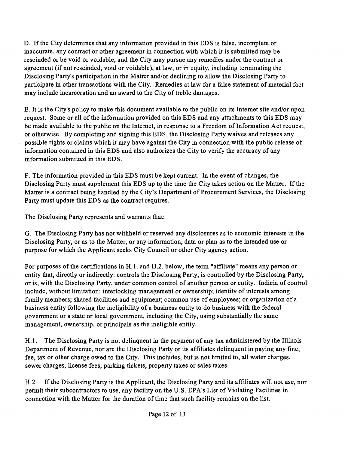D. If the City determines that any information provided in this EDS is false, incomplete or inaccurate, any contract or other agreement in connection with which it is submitted may be rescinded or be void or voidable, and the City may pursue any remedies under the conttact or agreement (if not rescinded, void or voidable), at law, or in equity, including terminating the Disclosing Party's participation in the Matter and/or declining to allow the Disclosing Party to participate in other transactions with the City. Remedies at law for a false statement of material fact may include incarceration and an award to the City of tteble damages.

E. It is the City's policy to make this document available to the public on its Intemet site and/or upon request. Some or all of the information provided on this EDS and any attachments to this EDS may be made available to the public on the Intemet, in response to a Freedom of Information Act request, or otherwise. By completing and signing this EDS, the Disclosing Party waives and releases any possible rights or claims which it may have against the City in connection with the public release of information contained in this EDS and also authorizes the City to verify the accuracy of any information submitted in this EDS.

F. The information provided in this EDS must be kept current. In the event of changes, the Disclosing Party must supplement this EDS up to the time the City takes action on the Matter. If the Matter is a conttact being handled by the City's Department of Procurement Services, the Disclosing Party must update this EDS as the contract requires.

The Disclosing Party represents and warrants that:

G. The Disclosing Party has not withheld or reserved any disclosures as to economic interests in the Disclosing Party, or as to the Matter, or any information, data or plan as to the intended use or purpose for which the Applicant seeks City Council or other City agency action.

For purposes of the certifications in H.1. and H.2. below, the term "affiliate" means any person or entity that, directly or indirectly: controls the Disclosing Party, is conttolled by the Disclosing Party, or is, with the Disclosing Party, under common conttol of another person or entity. Indicia of conttol include, without limitation: interlocking management or ownership; identity of interests among family members; shared facilities and equipment; common use of employees; or organization of a business entity following the ineligibility of a business entity to do business with the federal govemment or a state or local govemment, including the City, using substantially the same management, ownership, or principals as the ineligible entity.

H.1. The Disclosing Party is not delinquent in the payment of any tax administered by the Illinois Department of Revenue, nor are the Disclosing Party or its affiliates delinquent in paying any fine, fee, tax or other charge owed to the City. This includes, but is not hmited to, all water charges, sewer charges, license fees, parking tickets, property taxes or sales taxes.

H.2 If the Disclosing Party is the Applicant, the Disclosing Party and its affiliates will not use, nor permit their subcontractors to use, any facility on the U.S. EPA's List of Violating Facilities in connection with the Matter for the duration of time that such facility remains on the list.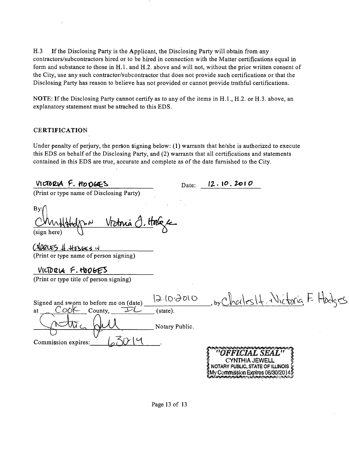H.3 If the Disclosing Party is the Applicant, the Disclosing Party will obtain from any contractors/subcontractors hired or to be hired in connection with the Matter certifications equal in form and substance to those in H.l . and H.2. above and will not, without the prior written consent of the City, use any such conttactor/subconttactor that does not provide such certifications or that the Disclosing Party has reason to believe has not provided or cannot provide tmthful certifications.

NOTE: If the Disclosing Party cannot certify as to any of the items in H.1., H.2. or H.3. above, an explanatory statement must be attached to this EDS.

#### CERTIFICATION

 $\bar{\mathbf{z}}$ 

Under penalty of perjury, the person signing below: (1) warrants that he/she is authorized to execute this EDS on behalf of the Disclosing Party, and (2) warrants that all certifications and statements contained in this EDS are true, accurate and complete as of the date furnished to the City.

| VICTORIA F. HODGES                                                     | Date:                  | 12.10.2010                                                                     |  |
|------------------------------------------------------------------------|------------------------|--------------------------------------------------------------------------------|--|
| (Print or type name of Disclosing Party)                               |                        |                                                                                |  |
| By:<br><u>Victoria O, Hole</u> r<br>(sign here)                        |                        |                                                                                |  |
| CHARLES & Hosbes in                                                    |                        |                                                                                |  |
| (Print or type name of person signing)                                 |                        |                                                                                |  |
| VICTORIA F. HOOGES                                                     |                        |                                                                                |  |
| (Print or type title of person signing)                                |                        |                                                                                |  |
| Signed and sworn to before me on (date)<br>County,<br>$\sim$ OOK<br>at | 12.10.3010<br>(state). | , by Charles It. Writaria, F. Hodges                                           |  |
|                                                                        |                        |                                                                                |  |
|                                                                        | Notary Public.         |                                                                                |  |
| $\sim$<br>Commission expires:                                          |                        |                                                                                |  |
|                                                                        |                        | CYNTHIA JEWELL<br>NOTARY PUBLIC, STATE OF ILLINOIS<br>Commission Expires 06/30 |  |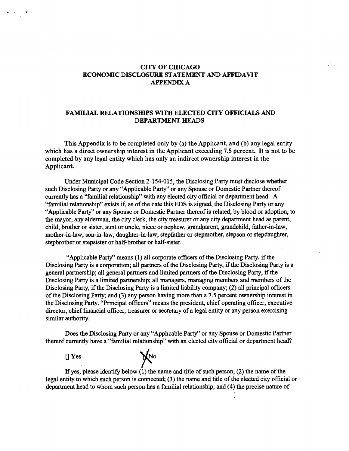#### **CITY OF CHICAGO ECONOMIC DISCLOSURE STATEMENT AND AFFIDAVIT APPENDIX A**

#### **FAMILIAL RELATIONSHIPS WITH ELECTED CITY OFFICIALS AND DEPARTMENT HEADS**

**This Appendix is to be completed only by (a) the Applicant, and (b) any legal entity which has a direct ownership interest in the Applicant exceeding 7.5 percent. It is not to be completed by any legal entity which has only an indirect ownership interest in the**  Applicant.

Under Municipal Code Section 2-154-015, the Disclosing Party must disclose whether such Disclosing Party or any "Applicable Party" or any Spouse or Domestic Partner thereof currently has a "familial relationship" with any elected city official or department head. A "familial relationship" exists if, as of the date this EDS is signed, the Disclosing Party or any "Applicable Party" or any Spouse or Domestic Partaer thereof is related, by blood or adoption, to the mayor, any alderman, the city clerk, the city treasurer or any city department head as parent, child, brother or sister, aunt or uncle, niece or nephew, grandparent, grandchild, father-m-law, mother-in-law, son-in-law, daughter-in-law, stepfather or stepmother, stepson or stepdaughter, stepbrother or stepsister or half-brother or half-sister.

"Applicable Party" means (1) all corporate officers of the Disclosing Party, if the Disclosing Party is a corporation; all partners of the Disclosing Party, if the Disclosing Party is a general partnership; all general partners and limited partners of the Disclosing Party, if the Disclosing Party is a limited partnership; all managers, managing members and members of the Disclosing Party, if the Disclosing Party is a limited liability company; (2) all principal officers of the Disclosing Party; and (3) any person having more than a 7.5 percent ownership interest in the Disclosmg Party. "Prmcipal officers" means the president, chief operating officer, executive director, chief financial officer, treasurer or secretary of a legal entity or any person exercising similar authority.

Does the Disclosing Party or any "Apphcable Party" or any Spouse or Domestic Partner thereof cunently have a "familial relationship" with an elected city official or department head?



If yes, please identify below  $(1)$  the name and title of such person,  $(2)$  the name of the legal entity to which such person is connected; (3) the name and title of the elected city official or department head to whom such person has a familial relationship, and (4) the precise nature of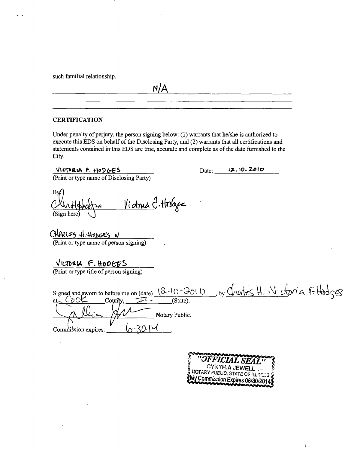such familial relationship.

#### **CERTIFICATION**

Under penalty of perjury, the person signing below: (1) warrants that he/she is authorized to execute this EDS on behalf of the Disclosing Party, and (2) warrants that all certifications and statements contained in this EDS are tme, accurate and complete as of the date fumished to the City.

**N/A** 

VICTORIA F. HODGES.

 $12.10.2010$ Date:

(Print or type name of Disclosing Party)

Bv <u>Victnia I</u>. Hobjec (Sign here)

CHARLES H. HODGES N (Print or type name of person signing)

VICTORIA F. HODGES (Print or type title of person signing)

Signed and swom to before me on (date)  $(2-(0-2010))$  by Chorles H. Wictoria F. Hodges  $Coufify$ ,  $\overrightarrow{+}-$  (State). Notary Public. *Commission expires:*  $\sqrt{20}$ 



 $\overline{1}$